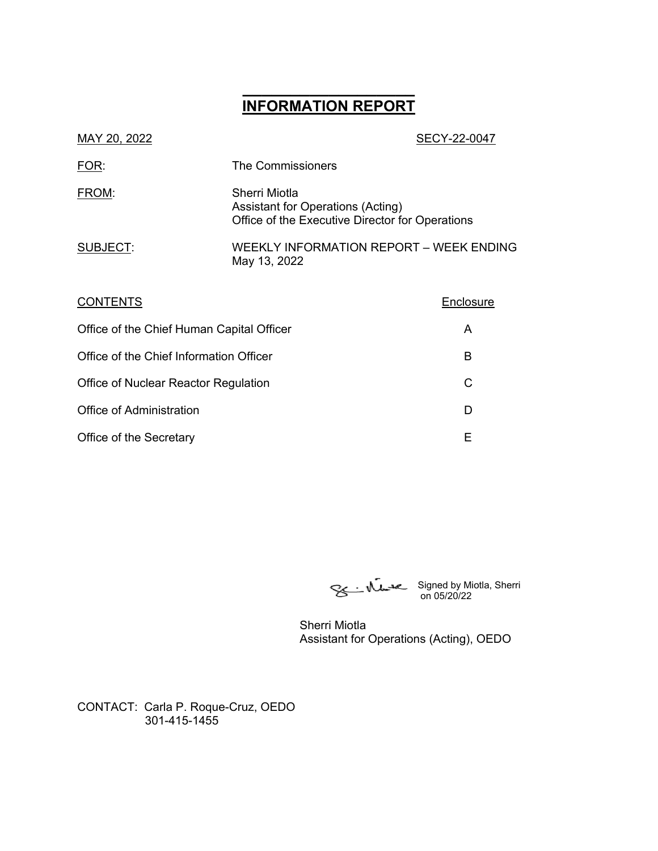# **\_\_\_\_\_\_\_\_\_\_\_\_\_\_\_\_\_\_ INFORMATION REPORT**

| MAY 20, 2022                                 |                                                                                                              | SECY-22-0047 |
|----------------------------------------------|--------------------------------------------------------------------------------------------------------------|--------------|
| FOR:                                         | The Commissioners                                                                                            |              |
| FROM:                                        | Sherri Miotla<br><b>Assistant for Operations (Acting)</b><br>Office of the Executive Director for Operations |              |
| SUBJECT:                                     | WEEKLY INFORMATION REPORT - WEEK ENDING<br>May 13, 2022                                                      |              |
| <b>CONTENTS</b>                              |                                                                                                              | Enclosure    |
| Office of the Chief Human Capital Officer    | A                                                                                                            |              |
| Office of the Chief Information Officer<br>в |                                                                                                              |              |
|                                              |                                                                                                              |              |

Office of Administration D Office of the Secretary **E** 

Office of Nuclear Reactor Regulation C

on 05/20/22

Signed by Miotla, Sherri

Sherri Miotla Assistant for Operations (Acting), OEDO

CONTACT: Carla P. Roque-Cruz, OEDO 301-415-1455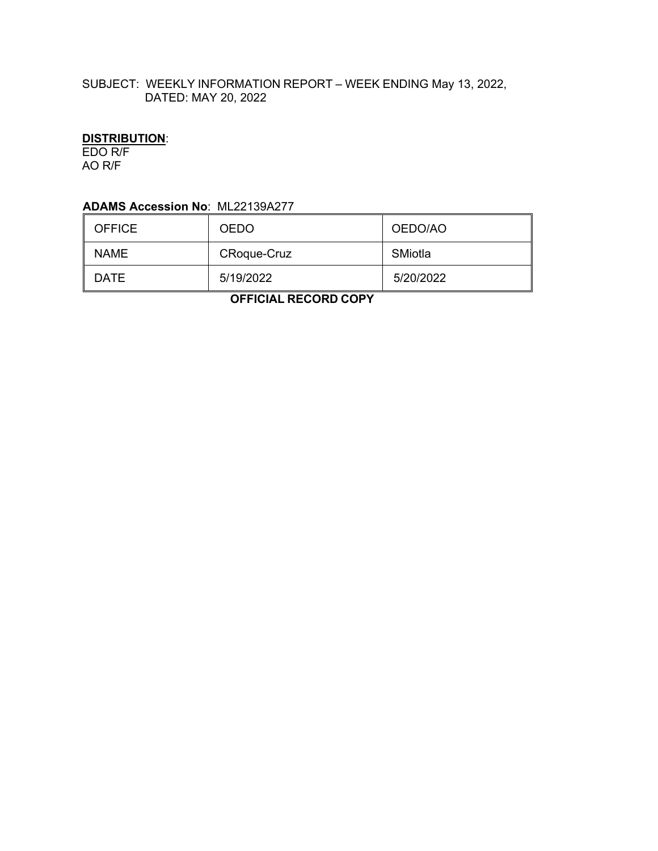### SUBJECT: WEEKLY INFORMATION REPORT – WEEK ENDING May 13, 2022, DATED: MAY 20, 2022

## **DISTRIBUTION**:

EDO R/F AO R/F

### **ADAMS Accession No**: ML22139A277

| <b>OFFICE</b> | <b>OEDO</b>        | OEDO/AO   |
|---------------|--------------------|-----------|
| <b>NAME</b>   | <b>CRoque-Cruz</b> | SMiotla   |
| DATE          | 5/19/2022          | 5/20/2022 |

 **OFFICIAL RECORD COPY**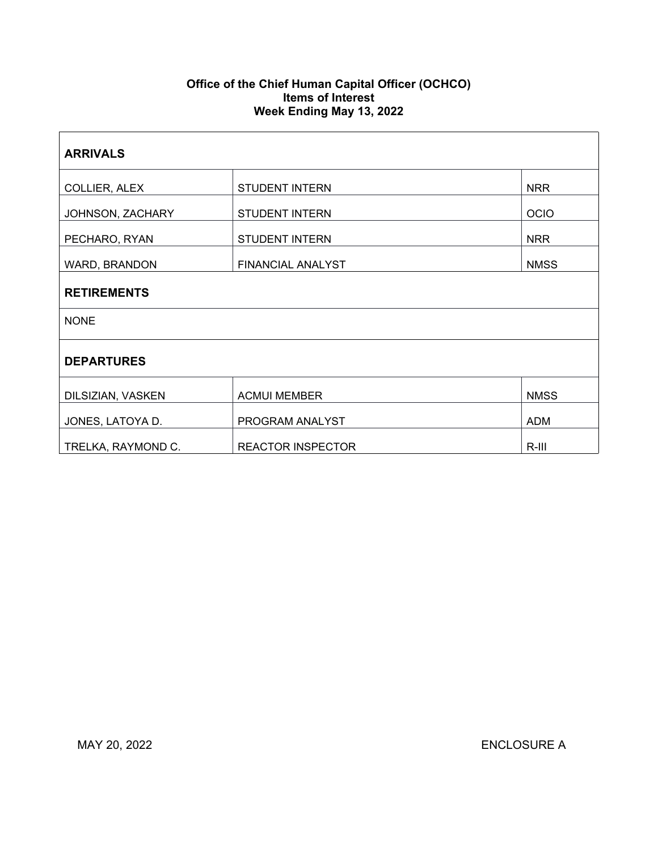#### **Office of the Chief Human Capital Officer (OCHCO) Items of Interest Week Ending May 13, 2022**

| <b>ARRIVALS</b>    |                                      |             |  |  |
|--------------------|--------------------------------------|-------------|--|--|
| COLLIER, ALEX      | <b>STUDENT INTERN</b>                | <b>NRR</b>  |  |  |
| JOHNSON, ZACHARY   | <b>STUDENT INTERN</b><br><b>OCIO</b> |             |  |  |
| PECHARO, RYAN      | <b>STUDENT INTERN</b>                | <b>NRR</b>  |  |  |
| WARD, BRANDON      | FINANCIAL ANALYST                    | <b>NMSS</b> |  |  |
| <b>RETIREMENTS</b> |                                      |             |  |  |
| <b>NONE</b>        |                                      |             |  |  |
| <b>DEPARTURES</b>  |                                      |             |  |  |
| DILSIZIAN, VASKEN  | <b>ACMUI MEMBER</b><br><b>NMSS</b>   |             |  |  |
| JONES, LATOYA D.   | PROGRAM ANALYST<br><b>ADM</b>        |             |  |  |
| TRELKA, RAYMOND C. | <b>REACTOR INSPECTOR</b>             | $R-III$     |  |  |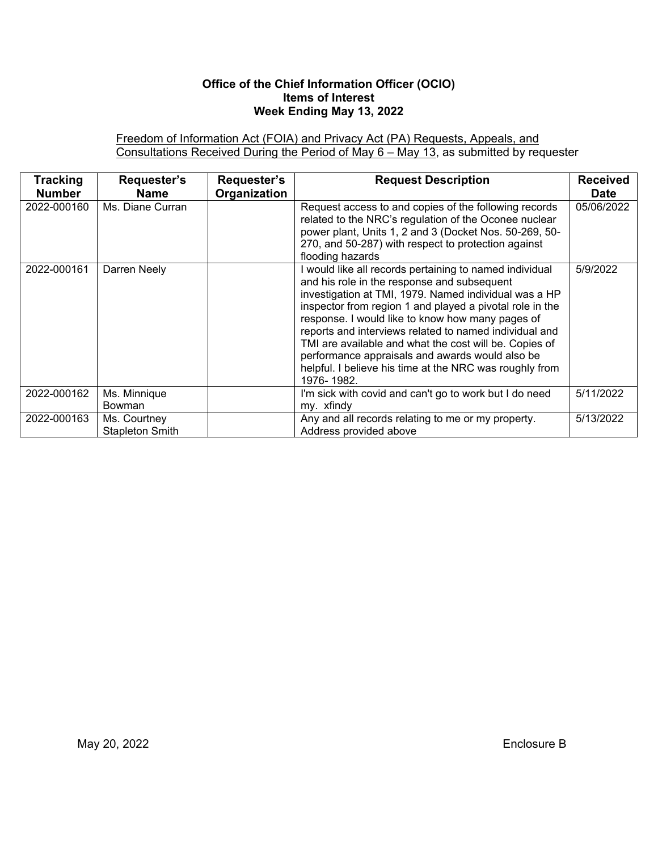### **Office of the Chief Information Officer (OCIO) Items of Interest Week Ending May 13, 2022**

Freedom of Information Act (FOIA) and Privacy Act (PA) Requests, Appeals, and Consultations Received During the Period of May 6 – May 13, as submitted by requester

| <b>Tracking</b><br><b>Number</b> | Requester's<br>Name                    | Requester's<br>Organization | <b>Request Description</b>                                                                                                                                                                                                                                                                                                                                                                                                                                                                                                      | <b>Received</b><br><b>Date</b> |
|----------------------------------|----------------------------------------|-----------------------------|---------------------------------------------------------------------------------------------------------------------------------------------------------------------------------------------------------------------------------------------------------------------------------------------------------------------------------------------------------------------------------------------------------------------------------------------------------------------------------------------------------------------------------|--------------------------------|
| 2022-000160                      | Ms. Diane Curran                       |                             | Request access to and copies of the following records<br>related to the NRC's regulation of the Oconee nuclear<br>power plant, Units 1, 2 and 3 (Docket Nos. 50-269, 50-<br>270, and 50-287) with respect to protection against<br>flooding hazards                                                                                                                                                                                                                                                                             | 05/06/2022                     |
| 2022-000161                      | Darren Neely                           |                             | I would like all records pertaining to named individual<br>and his role in the response and subsequent<br>investigation at TMI, 1979. Named individual was a HP<br>inspector from region 1 and played a pivotal role in the<br>response. I would like to know how many pages of<br>reports and interviews related to named individual and<br>TMI are available and what the cost will be. Copies of<br>performance appraisals and awards would also be<br>helpful. I believe his time at the NRC was roughly from<br>1976-1982. | 5/9/2022                       |
| 2022-000162                      | Ms. Minnique<br><b>Bowman</b>          |                             | I'm sick with covid and can't go to work but I do need<br>my. xfindy                                                                                                                                                                                                                                                                                                                                                                                                                                                            | 5/11/2022                      |
| 2022-000163                      | Ms. Courtney<br><b>Stapleton Smith</b> |                             | Any and all records relating to me or my property.<br>Address provided above                                                                                                                                                                                                                                                                                                                                                                                                                                                    | 5/13/2022                      |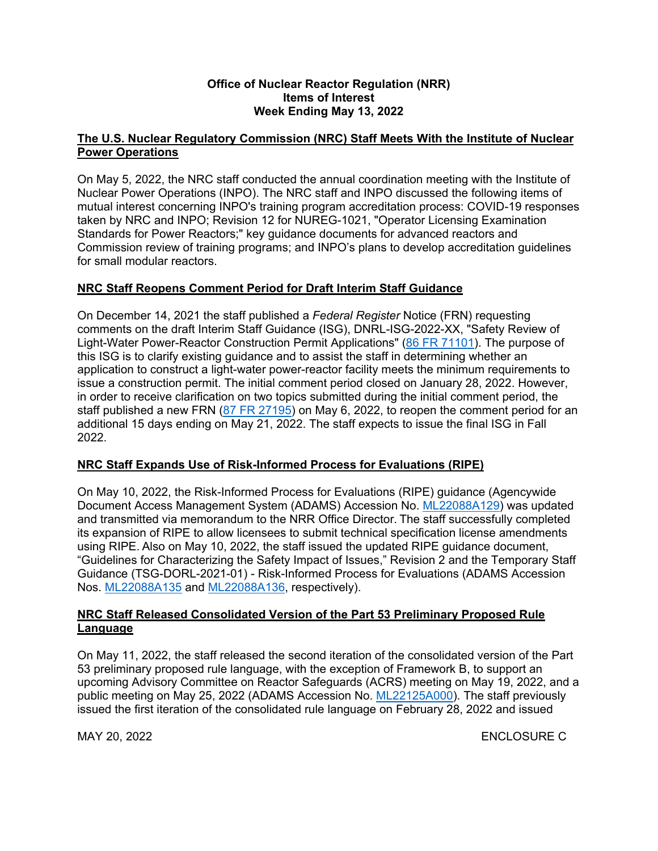#### **Office of Nuclear Reactor Regulation (NRR) Items of Interest Week Ending May 13, 2022**

### **The U.S. Nuclear Regulatory Commission (NRC) Staff Meets With the Institute of Nuclear Power Operations**

On May 5, 2022, the NRC staff conducted the annual coordination meeting with the Institute of Nuclear Power Operations (INPO). The NRC staff and INPO discussed the following items of mutual interest concerning INPO's training program accreditation process: COVID-19 responses taken by NRC and INPO; Revision 12 for NUREG-1021, "Operator Licensing Examination Standards for Power Reactors;" key guidance documents for advanced reactors and Commission review of training programs; and INPO's plans to develop accreditation guidelines for small modular reactors.

### **NRC Staff Reopens Comment Period for Draft Interim Staff Guidance**

On December 14, 2021 the staff published a *Federal Register* Notice (FRN) requesting comments on the draft Interim Staff Guidance (ISG), DNRL-ISG-2022-XX, "Safety Review of Light-Water Power-Reactor Construction Permit Applications" ([86 FR 71101\)](https://www.federalregister.gov/documents/2021/12/14/2021-27035/safety-review-of-light-water-power-reactor-construction-permit-applications). The purpose of this ISG is to clarify existing guidance and to assist the staff in determining whether an application to construct a light-water power-reactor facility meets the minimum requirements to issue a construction permit. The initial comment period closed on January 28, 2022. However, in order to receive clarification on two topics submitted during the initial comment period, the staff published a new FRN ([87 FR 27195](https://www.federalregister.gov/documents/2022/05/06/2022-09702/safety-review-of-light-water-power-reactor-construction-permit-applications)) on May 6, 2022, to reopen the comment period for an additional 15 days ending on May 21, 2022. The staff expects to issue the final ISG in Fall 2022.

### **NRC Staff Expands Use of Risk-Informed Process for Evaluations (RIPE)**

On May 10, 2022, the Risk-Informed Process for Evaluations (RIPE) guidance (Agencywide Document Access Management System (ADAMS) Accession No. [ML22088A129](https://adamswebsearch2.nrc.gov/webSearch2/main.jsp?AccessionNumber=ML22088A129)) was updated and transmitted via memorandum to the NRR Office Director. The staff successfully completed its expansion of RIPE to allow licensees to submit technical specification license amendments using RIPE. Also on May 10, 2022, the staff issued the updated RIPE guidance document, "Guidelines for Characterizing the Safety Impact of Issues," Revision 2 and the Temporary Staff Guidance (TSG-DORL-2021-01) - Risk-Informed Process for Evaluations (ADAMS Accession Nos. [ML22088A135](https://adamswebsearch2.nrc.gov/webSearch2/main.jsp?AccessionNumber=ML22088A135) and [ML22088A136](https://adamswebsearch2.nrc.gov/webSearch2/main.jsp?AccessionNumber=ML22088A136), respectively).

### **NRC Staff Released Consolidated Version of the Part 53 Preliminary Proposed Rule Language**

On May 11, 2022, the staff released the second iteration of the consolidated version of the Part 53 preliminary proposed rule language, with the exception of Framework B, to support an upcoming Advisory Committee on Reactor Safeguards (ACRS) meeting on May 19, 2022, and a public meeting on May 25, 2022 (ADAMS Accession No. [ML22125A000\)](https://adamswebsearch2.nrc.gov/webSearch2/main.jsp?AccessionNumber=ML22125A000). The staff previously issued the first iteration of the consolidated rule language on February 28, 2022 and issued

MAY 20, 2022 ENCLOSURE C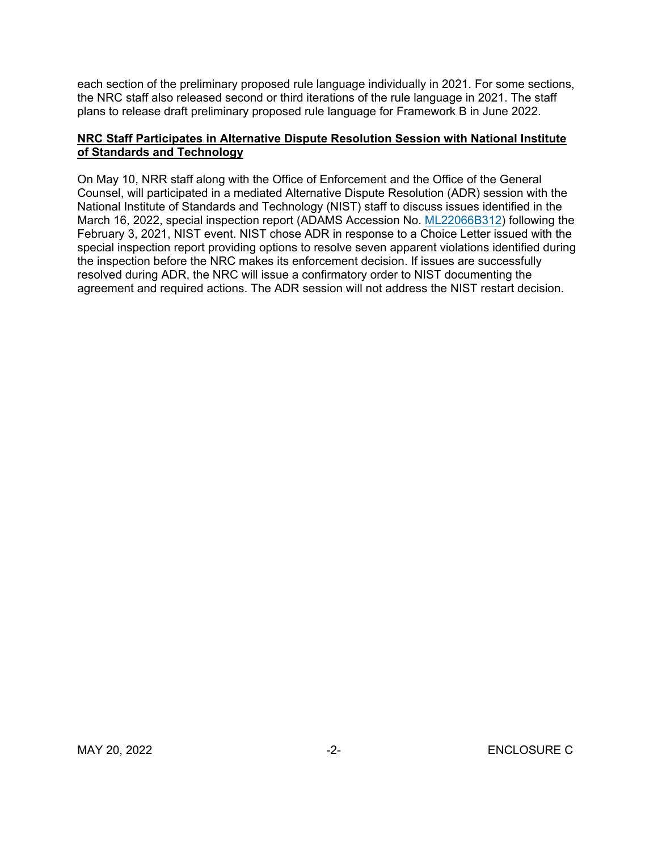each section of the preliminary proposed rule language individually in 2021. For some sections, the NRC staff also released second or third iterations of the rule language in 2021. The staff plans to release draft preliminary proposed rule language for Framework B in June 2022.

### **NRC Staff Participates in Alternative Dispute Resolution Session with National Institute of Standards and Technology**

On May 10, NRR staff along with the Office of Enforcement and the Office of the General Counsel, will participated in a mediated Alternative Dispute Resolution (ADR) session with the National Institute of Standards and Technology (NIST) staff to discuss issues identified in the March 16, 2022, special inspection report (ADAMS Accession No. [ML22066B312\)](https://adamsxt.nrc.gov/navigator/AdamsXT/packagecontent/packageContent.faces?id=%7b4FC302B8-A3BF-CA83-8735-7F664EE00000%7d&objectStoreName=MainLibrary&wId=1652699213485) following the February 3, 2021, NIST event. NIST chose ADR in response to a Choice Letter issued with the special inspection report providing options to resolve seven apparent violations identified during the inspection before the NRC makes its enforcement decision. If issues are successfully resolved during ADR, the NRC will issue a confirmatory order to NIST documenting the agreement and required actions. The ADR session will not address the NIST restart decision.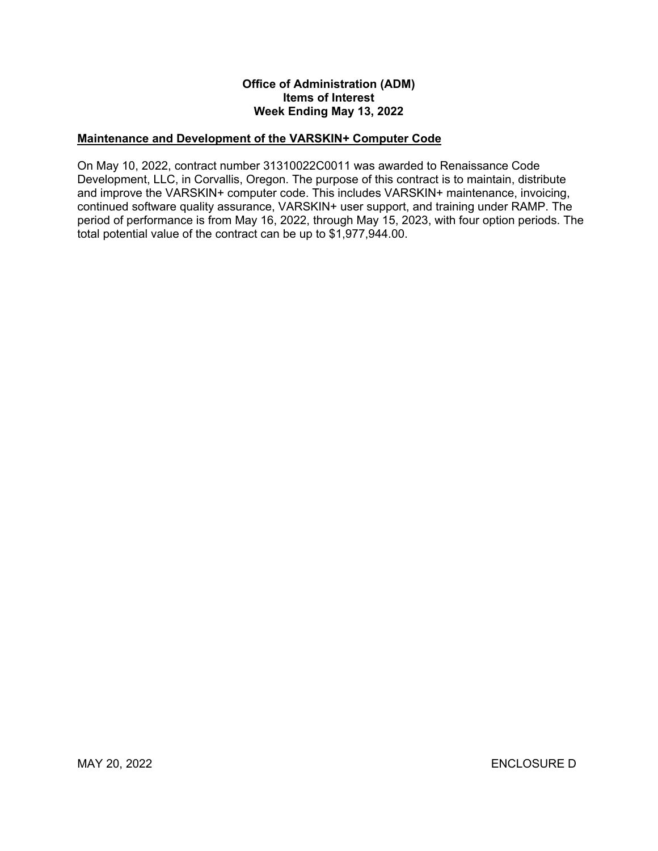#### **Office of Administration (ADM) Items of Interest Week Ending May 13, 2022**

#### **Maintenance and Development of the VARSKIN+ Computer Code**

On May 10, 2022, contract number 31310022C0011 was awarded to Renaissance Code Development, LLC, in Corvallis, Oregon. The purpose of this contract is to maintain, distribute and improve the VARSKIN+ computer code. This includes VARSKIN+ maintenance, invoicing, continued software quality assurance, VARSKIN+ user support, and training under RAMP. The period of performance is from May 16, 2022, through May 15, 2023, with four option periods. The total potential value of the contract can be up to \$1,977,944.00.